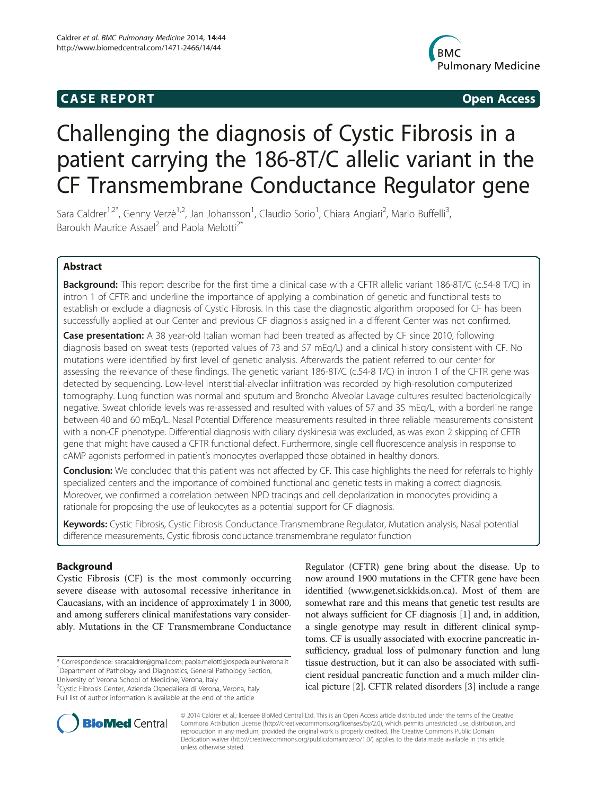## **CASE REPORT CASE REPORT**



# Challenging the diagnosis of Cystic Fibrosis in a patient carrying the 186-8T/C allelic variant in the CF Transmembrane Conductance Regulator gene

Sara Caldrer<sup>1,2\*</sup>, Genny Verzè<sup>1,2</sup>, Jan Johansson<sup>1</sup>, Claudio Sorio<sup>1</sup>, Chiara Angiari<sup>2</sup>, Mario Buffelli<sup>3</sup> , Baroukh Maurice Assael<sup>2</sup> and Paola Melotti<sup>2\*</sup>

## Abstract

**Background:** This report describe for the first time a clinical case with a CFTR allelic variant 186-8T/C (c.54-8 T/C) in intron 1 of CFTR and underline the importance of applying a combination of genetic and functional tests to establish or exclude a diagnosis of Cystic Fibrosis. In this case the diagnostic algorithm proposed for CF has been successfully applied at our Center and previous CF diagnosis assigned in a different Center was not confirmed.

Case presentation: A 38 year-old Italian woman had been treated as affected by CF since 2010, following diagnosis based on sweat tests (reported values of 73 and 57 mEq/L) and a clinical history consistent with CF. No mutations were identified by first level of genetic analysis. Afterwards the patient referred to our center for assessing the relevance of these findings. The genetic variant 186-8T/C (c.54-8 T/C) in intron 1 of the CFTR gene was detected by sequencing. Low-level interstitial-alveolar infiltration was recorded by high-resolution computerized tomography. Lung function was normal and sputum and Broncho Alveolar Lavage cultures resulted bacteriologically negative. Sweat chloride levels was re-assessed and resulted with values of 57 and 35 mEq/L, with a borderline range between 40 and 60 mEq/L. Nasal Potential Difference measurements resulted in three reliable measurements consistent with a non-CF phenotype. Differential diagnosis with ciliary dyskinesia was excluded, as was exon 2 skipping of CFTR gene that might have caused a CFTR functional defect. Furthermore, single cell fluorescence analysis in response to cAMP agonists performed in patient's monocytes overlapped those obtained in healthy donors.

**Conclusion:** We concluded that this patient was not affected by CF. This case highlights the need for referrals to highly specialized centers and the importance of combined functional and genetic tests in making a correct diagnosis. Moreover, we confirmed a correlation between NPD tracings and cell depolarization in monocytes providing a rationale for proposing the use of leukocytes as a potential support for CF diagnosis.

Keywords: Cystic Fibrosis, Cystic Fibrosis Conductance Transmembrane Regulator, Mutation analysis, Nasal potential difference measurements, Cystic fibrosis conductance transmembrane regulator function

## Background

Cystic Fibrosis (CF) is the most commonly occurring severe disease with autosomal recessive inheritance in Caucasians, with an incidence of approximately 1 in 3000, and among sufferers clinical manifestations vary considerably. Mutations in the CF Transmembrane Conductance

\* Correspondence: [saracaldrer@gmail.com](mailto:saracaldrer@gmail.com); [paola.melotti@ospedaleuniverona.it](mailto:paola.melotti@ospedaleuniverona.it) <sup>1</sup>Department of Pathology and Diagnostics, General Pathology Section, University of Verona School of Medicine, Verona, Italy

<sup>2</sup>Cystic Fibrosis Center, Azienda Ospedaliera di Verona, Verona, Italy Full list of author information is available at the end of the article

Regulator (CFTR) gene bring about the disease. Up to now around 1900 mutations in the CFTR gene have been identified [\(www.genet.sickkids.on.ca](http://www.genet.sickkids.on.ca)). Most of them are somewhat rare and this means that genetic test results are not always sufficient for CF diagnosis [[1\]](#page-5-0) and, in addition, a single genotype may result in different clinical symptoms. CF is usually associated with exocrine pancreatic insufficiency, gradual loss of pulmonary function and lung tissue destruction, but it can also be associated with sufficient residual pancreatic function and a much milder clinical picture [[2\]](#page-5-0). CFTR related disorders [[3\]](#page-5-0) include a range



© 2014 Caldrer et al.; licensee BioMed Central Ltd. This is an Open Access article distributed under the terms of the Creative Commons Attribution License [\(http://creativecommons.org/licenses/by/2.0\)](http://creativecommons.org/licenses/by/2.0), which permits unrestricted use, distribution, and reproduction in any medium, provided the original work is properly credited. The Creative Commons Public Domain Dedication waiver [\(http://creativecommons.org/publicdomain/zero/1.0/](http://creativecommons.org/publicdomain/zero/1.0/)) applies to the data made available in this article, unless otherwise stated.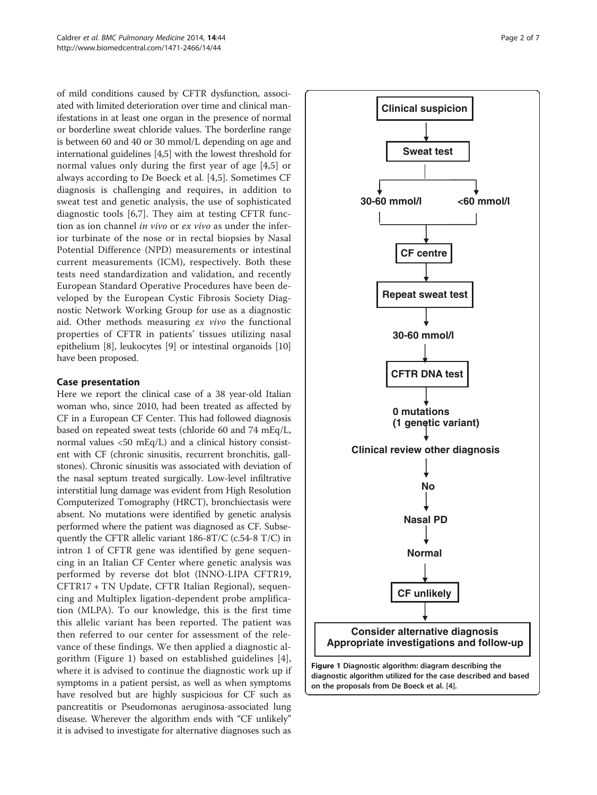<span id="page-1-0"></span>of mild conditions caused by CFTR dysfunction, associated with limited deterioration over time and clinical manifestations in at least one organ in the presence of normal or borderline sweat chloride values. The borderline range is between 60 and 40 or 30 mmol/L depending on age and international guidelines [[4](#page-5-0),[5](#page-5-0)] with the lowest threshold for normal values only during the first year of age [\[4](#page-5-0),[5\]](#page-5-0) or always according to De Boeck et al. [[4,5](#page-5-0)]. Sometimes CF diagnosis is challenging and requires, in addition to sweat test and genetic analysis, the use of sophisticated diagnostic tools [\[6](#page-5-0),[7\]](#page-5-0). They aim at testing CFTR function as ion channel in vivo or ex vivo as under the inferior turbinate of the nose or in rectal biopsies by Nasal Potential Difference (NPD) measurements or intestinal current measurements (ICM), respectively. Both these tests need standardization and validation, and recently European Standard Operative Procedures have been developed by the European Cystic Fibrosis Society Diagnostic Network Working Group for use as a diagnostic aid. Other methods measuring ex vivo the functional properties of CFTR in patients' tissues utilizing nasal epithelium [\[8](#page-5-0)], leukocytes [\[9\]](#page-5-0) or intestinal organoids [[10](#page-5-0)] have been proposed.

## Case presentation

Here we report the clinical case of a 38 year-old Italian woman who, since 2010, had been treated as affected by CF in a European CF Center. This had followed diagnosis based on repeated sweat tests (chloride 60 and 74 mEq/L, normal values  $\langle 50 \text{ mEq/L} \rangle$  and a clinical history consistent with CF (chronic sinusitis, recurrent bronchitis, gallstones). Chronic sinusitis was associated with deviation of the nasal septum treated surgically. Low-level infiltrative interstitial lung damage was evident from High Resolution Computerized Tomography (HRCT), bronchiectasis were absent. No mutations were identified by genetic analysis performed where the patient was diagnosed as CF. Subsequently the CFTR allelic variant 186-8T/C (c.54-8 T/C) in intron 1 of CFTR gene was identified by gene sequencing in an Italian CF Center where genetic analysis was performed by reverse dot blot (INNO-LIPA CFTR19, CFTR17 + TN Update, CFTR Italian Regional), sequencing and Multiplex ligation-dependent probe amplification (MLPA). To our knowledge, this is the first time this allelic variant has been reported. The patient was then referred to our center for assessment of the relevance of these findings. We then applied a diagnostic algorithm (Figure 1) based on established guidelines [\[4](#page-5-0)], where it is advised to continue the diagnostic work up if symptoms in a patient persist, as well as when symptoms have resolved but are highly suspicious for CF such as pancreatitis or Pseudomonas aeruginosa-associated lung disease. Wherever the algorithm ends with "CF unlikely" it is advised to investigate for alternative diagnoses such as

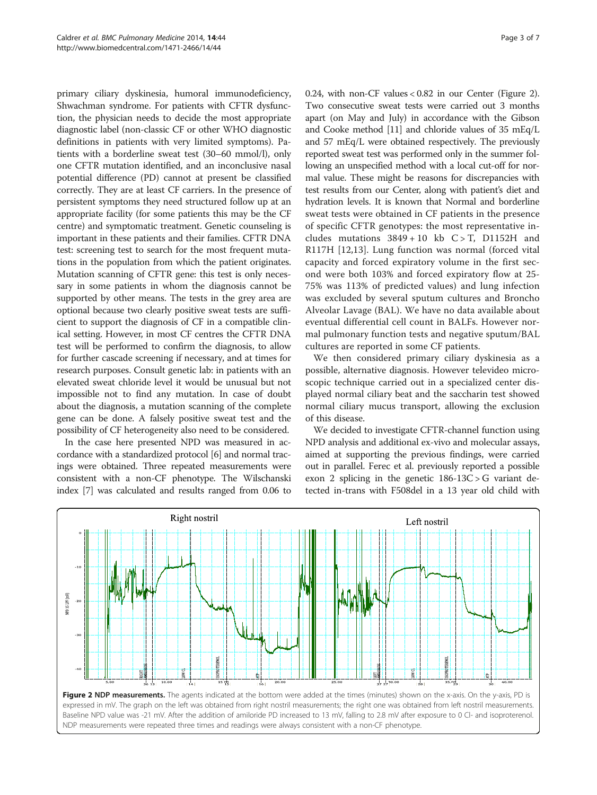primary ciliary dyskinesia, humoral immunodeficiency, Shwachman syndrome. For patients with CFTR dysfunction, the physician needs to decide the most appropriate diagnostic label (non-classic CF or other WHO diagnostic definitions in patients with very limited symptoms). Patients with a borderline sweat test (30–60 mmol/l), only one CFTR mutation identified, and an inconclusive nasal potential difference (PD) cannot at present be classified correctly. They are at least CF carriers. In the presence of persistent symptoms they need structured follow up at an appropriate facility (for some patients this may be the CF centre) and symptomatic treatment. Genetic counseling is important in these patients and their families. CFTR DNA test: screening test to search for the most frequent mutations in the population from which the patient originates. Mutation scanning of CFTR gene: this test is only necessary in some patients in whom the diagnosis cannot be supported by other means. The tests in the grey area are optional because two clearly positive sweat tests are sufficient to support the diagnosis of CF in a compatible clinical setting. However, in most CF centres the CFTR DNA test will be performed to confirm the diagnosis, to allow for further cascade screening if necessary, and at times for research purposes. Consult genetic lab: in patients with an elevated sweat chloride level it would be unusual but not impossible not to find any mutation. In case of doubt about the diagnosis, a mutation scanning of the complete gene can be done. A falsely positive sweat test and the possibility of CF heterogeneity also need to be considered.

In the case here presented NPD was measured in accordance with a standardized protocol [\[6](#page-5-0)] and normal tracings were obtained. Three repeated measurements were consistent with a non-CF phenotype. The Wilschanski index [\[7](#page-5-0)] was calculated and results ranged from 0.06 to 0.24, with non-CF values < 0.82 in our Center (Figure 2). Two consecutive sweat tests were carried out 3 months apart (on May and July) in accordance with the Gibson and Cooke method [\[11\]](#page-5-0) and chloride values of 35 mEq/L and 57 mEq/L were obtained respectively. The previously reported sweat test was performed only in the summer following an unspecified method with a local cut-off for normal value. These might be reasons for discrepancies with test results from our Center, along with patient's diet and hydration levels. It is known that Normal and borderline sweat tests were obtained in CF patients in the presence of specific CFTR genotypes: the most representative includes mutations  $3849 + 10$  kb  $C > T$ , D1152H and R117H [\[12](#page-5-0),[13\]](#page-5-0). Lung function was normal (forced vital capacity and forced expiratory volume in the first second were both 103% and forced expiratory flow at 25- 75% was 113% of predicted values) and lung infection was excluded by several sputum cultures and Broncho Alveolar Lavage (BAL). We have no data available about eventual differential cell count in BALFs. However normal pulmonary function tests and negative sputum/BAL cultures are reported in some CF patients.

We then considered primary ciliary dyskinesia as a possible, alternative diagnosis. However televideo microscopic technique carried out in a specialized center displayed normal ciliary beat and the saccharin test showed normal ciliary mucus transport, allowing the exclusion of this disease.

We decided to investigate CFTR-channel function using NPD analysis and additional ex-vivo and molecular assays, aimed at supporting the previous findings, were carried out in parallel. Ferec et al. previously reported a possible exon 2 splicing in the genetic  $186-13C > G$  variant detected in-trans with F508del in a 13 year old child with

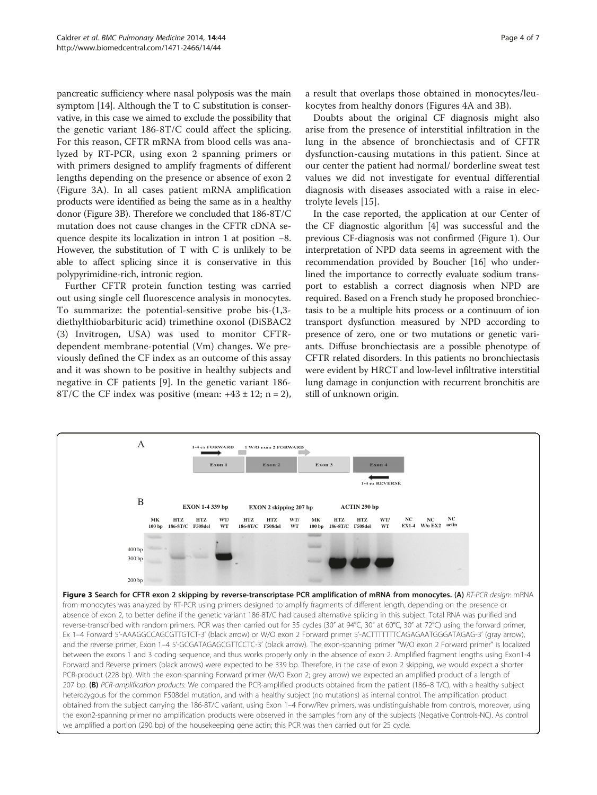pancreatic sufficiency where nasal polyposis was the main symptom [[14\]](#page-5-0). Although the T to C substitution is conservative, in this case we aimed to exclude the possibility that the genetic variant 186-8T/C could affect the splicing. For this reason, CFTR mRNA from blood cells was analyzed by RT-PCR, using exon 2 spanning primers or with primers designed to amplify fragments of different lengths depending on the presence or absence of exon 2 (Figure 3A). In all cases patient mRNA amplification products were identified as being the same as in a healthy donor (Figure 3B). Therefore we concluded that 186-8T/C mutation does not cause changes in the CFTR cDNA sequence despite its localization in intron 1 at position −8. However, the substitution of T with C is unlikely to be able to affect splicing since it is conservative in this polypyrimidine-rich, intronic region.

Further CFTR protein function testing was carried out using single cell fluorescence analysis in monocytes. To summarize: the potential-sensitive probe bis-(1,3 diethylthiobarbituric acid) trimethine oxonol (DiSBAC2 (3) Invitrogen, USA) was used to monitor CFTRdependent membrane-potential (Vm) changes. We previously defined the CF index as an outcome of this assay and it was shown to be positive in healthy subjects and negative in CF patients [\[9](#page-5-0)]. In the genetic variant 186- 8T/C the CF index was positive (mean:  $+43 \pm 12$ ; n = 2),

a result that overlaps those obtained in monocytes/leukocytes from healthy donors (Figures [4](#page-4-0)A and 3B).

Doubts about the original CF diagnosis might also arise from the presence of interstitial infiltration in the lung in the absence of bronchiectasis and of CFTR dysfunction-causing mutations in this patient. Since at our center the patient had normal/ borderline sweat test values we did not investigate for eventual differential diagnosis with diseases associated with a raise in electrolyte levels [\[15](#page-5-0)].

In the case reported, the application at our Center of the CF diagnostic algorithm [\[4\]](#page-5-0) was successful and the previous CF-diagnosis was not confirmed (Figure [1\)](#page-1-0). Our interpretation of NPD data seems in agreement with the recommendation provided by Boucher [[16](#page-5-0)] who underlined the importance to correctly evaluate sodium transport to establish a correct diagnosis when NPD are required. Based on a French study he proposed bronchiectasis to be a multiple hits process or a continuum of ion transport dysfunction measured by NPD according to presence of zero, one or two mutations or genetic variants. Diffuse bronchiectasis are a possible phenotype of CFTR related disorders. In this patients no bronchiectasis were evident by HRCT and low-level infiltrative interstitial lung damage in conjunction with recurrent bronchitis are still of unknown origin.

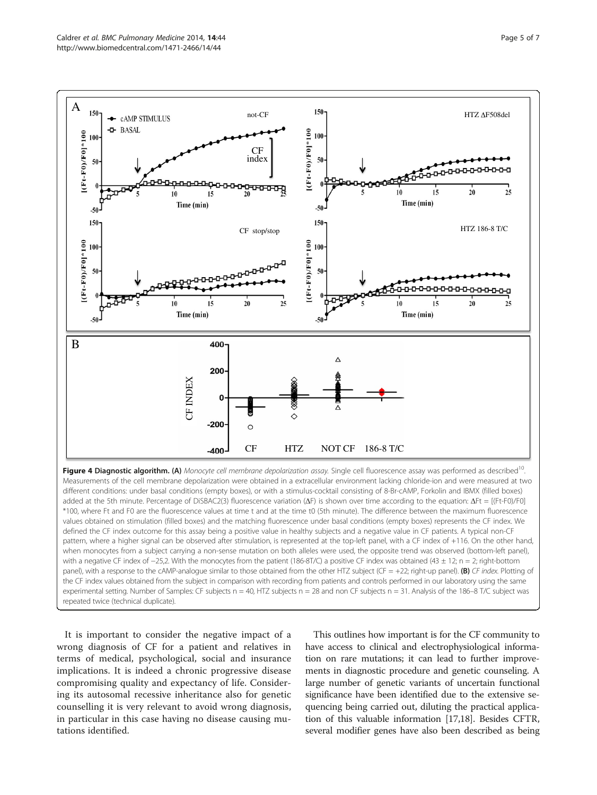<span id="page-4-0"></span>

It is important to consider the negative impact of a wrong diagnosis of CF for a patient and relatives in terms of medical, psychological, social and insurance implications. It is indeed a chronic progressive disease compromising quality and expectancy of life. Considering its autosomal recessive inheritance also for genetic counselling it is very relevant to avoid wrong diagnosis, in particular in this case having no disease causing mutations identified.

This outlines how important is for the CF community to have access to clinical and electrophysiological information on rare mutations; it can lead to further improvements in diagnostic procedure and genetic counseling. A large number of genetic variants of uncertain functional significance have been identified due to the extensive sequencing being carried out, diluting the practical application of this valuable information [[17,18\]](#page-6-0). Besides CFTR, several modifier genes have also been described as being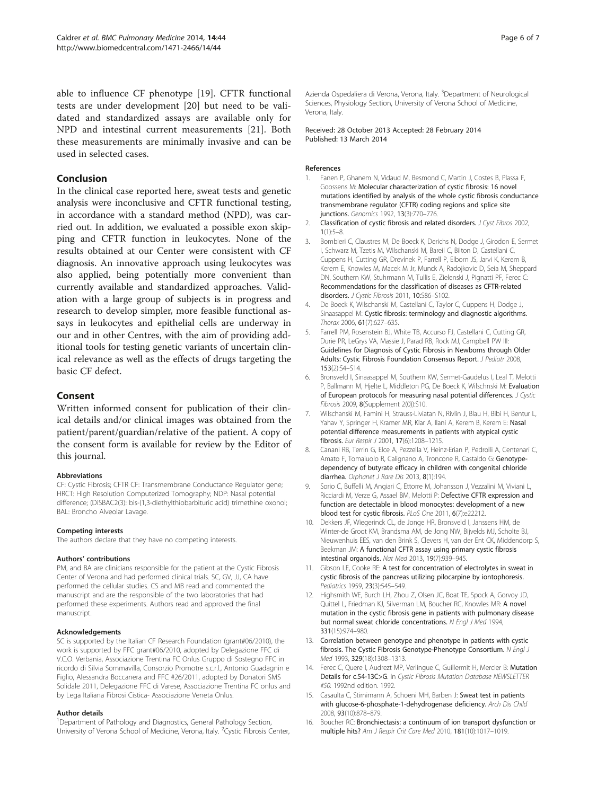<span id="page-5-0"></span>able to influence CF phenotype [[19\]](#page-6-0). CFTR functional tests are under development [\[20](#page-6-0)] but need to be validated and standardized assays are available only for NPD and intestinal current measurements [\[21](#page-6-0)]. Both these measurements are minimally invasive and can be used in selected cases.

### Conclusion

In the clinical case reported here, sweat tests and genetic analysis were inconclusive and CFTR functional testing, in accordance with a standard method (NPD), was carried out. In addition, we evaluated a possible exon skipping and CFTR function in leukocytes. None of the results obtained at our Center were consistent with CF diagnosis. An innovative approach using leukocytes was also applied, being potentially more convenient than currently available and standardized approaches. Validation with a large group of subjects is in progress and research to develop simpler, more feasible functional assays in leukocytes and epithelial cells are underway in our and in other Centres, with the aim of providing additional tools for testing genetic variants of uncertain clinical relevance as well as the effects of drugs targeting the basic CF defect.

#### Consent

Written informed consent for publication of their clinical details and/or clinical images was obtained from the patient/parent/guardian/relative of the patient. A copy of the consent form is available for review by the Editor of this journal.

#### Abbreviations

CF: Cystic Fibrosis; CFTR CF: Transmembrane Conductance Regulator gene; HRCT: High Resolution Computerized Tomography; NDP: Nasal potential difference; (DiSBAC2(3): bis-(1,3-diethylthiobarbituric acid) trimethine oxonol; BAL: Broncho Alveolar Lavage.

#### Competing interests

The authors declare that they have no competing interests.

#### Authors' contributions

PM, and BA are clinicians responsible for the patient at the Cystic Fibrosis Center of Verona and had performed clinical trials. SC, GV, JJ, CA have performed the cellular studies. CS and MB read and commented the manuscript and are the responsible of the two laboratories that had performed these experiments. Authors read and approved the final manuscript.

#### Acknowledgements

SC is supported by the Italian CF Research Foundation (grant#06/2010), the work is supported by FFC grant#06/2010, adopted by Delegazione FFC di V.C.O. Verbania, Associazione Trentina FC Onlus Gruppo di Sostegno FFC in ricordo di Silvia Sommavilla, Consorzio Promotre s.c.r.l., Antonio Guadagnin e Figlio, Alessandra Boccanera and FFC #26/2011, adopted by Donatori SMS Solidale 2011, Delegazione FFC di Varese, Associazione Trentina FC onlus and by Lega Italiana Fibrosi Cistica- Associazione Veneta Onlus.

#### Author details

<sup>1</sup>Department of Pathology and Diagnostics, General Pathology Section, University of Verona School of Medicine, Verona, Italy. <sup>2</sup>Cystic Fibrosis Center, Azienda Ospedaliera di Verona, Verona, Italy. <sup>3</sup>Department of Neurological Sciences, Physiology Section, University of Verona School of Medicine, Verona, Italy.

Received: 28 October 2013 Accepted: 28 February 2014 Published: 13 March 2014

#### References

- 1. Fanen P, Ghanem N, Vidaud M, Besmond C, Martin J, Costes B, Plassa F, Goossens M: Molecular characterization of cystic fibrosis: 16 novel mutations identified by analysis of the whole cystic fibrosis conductance transmembrane regulator (CFTR) coding regions and splice site junctions. Genomics 1992, 13(3):770–776.
- 2. Classification of cystic fibrosis and related disorders. J Cyst Fibros 2002, 1(1):5–8.
- 3. Bombieri C, Claustres M, De Boeck K, Derichs N, Dodge J, Girodon E, Sermet I, Schwarz M, Tzetis M, Wilschanski M, Bareil C, Bilton D, Castellani C, Cuppens H, Cutting GR, Drevínek P, Farrell P, Elborn JS, Jarvi K, Kerem B, Kerem E, Knowles M, Macek M Jr, Munck A, Radojkovic D, Seia M, Sheppard DN, Southern KW, Stuhrmann M, Tullis E, Zielenski J, Pignatti PF, Ferec C: Recommendations for the classification of diseases as CFTR-related disorders. J Cystic Fibrosis 2011, 10:S86-S102.
- De Boeck K, Wilschanski M, Castellani C, Taylor C, Cuppens H, Dodge J, Sinaasappel M: Cystic fibrosis: terminology and diagnostic algorithms. Thorax 2006, 61(7):627–635.
- 5. Farrell PM, Rosenstein BJ, White TB, Accurso FJ, Castellani C, Cutting GR, Durie PR, LeGrys VA, Massie J, Parad RB, Rock MJ, Campbell PW III: Guidelines for Diagnosis of Cystic Fibrosis in Newborns through Older Adults: Cystic Fibrosis Foundation Consensus Report. J Pediatr 2008, 153(2):S4–S14.
- 6. Bronsveld I, Sinaasappel M, Southern KW, Sermet-Gaudelus I, Leal T, Melotti P, Ballmann M, Hjelte L, Middleton PG, De Boeck K, Wilschnski M: Evaluation of European protocols for measuring nasal potential differences. J Cystic Fibrosis 2009, 8(Supplement 2(0)):S10.
- 7. Wilschanski M, Famini H, Strauss-Liviatan N, Rivlin J, Blau H, Bibi H, Bentur L, Yahav Y, Springer H, Kramer MR, Klar A, Ilani A, Kerem B, Kerem E: Nasal potential difference measurements in patients with atypical cystic fibrosis. Eur Respir J 2001, 17(6):1208–1215.
- 8. Canani RB, Terrin G, Elce A, Pezzella V, Heinz-Erian P, Pedrolli A, Centenari C, Amato F, Tomaiuolo R, Calignano A, Troncone R, Castaldo G: Genotypedependency of butyrate efficacy in children with congenital chloride diarrhea. Orphanet J Rare Dis 2013, 8(1):194.
- 9. Sorio C, Buffelli M, Angiari C, Ettorre M, Johansson J, Vezzalini M, Viviani L, Ricciardi M, Verze G, Assael BM, Melotti P: Defective CFTR expression and function are detectable in blood monocytes: development of a new blood test for cystic fibrosis. PLoS One 2011, 6(7):e22212.
- 10. Dekkers JF, Wiegerinck CL, de Jonge HR, Bronsveld I, Janssens HM, de Winter-de Groot KM, Brandsma AM, de Jong NW, Bijvelds MJ, Scholte BJ, Nieuwenhuis EES, van den Brink S, Clevers H, van der Ent CK, Middendorp S, Beekman JM: A functional CFTR assay using primary cystic fibrosis intestinal organoids. Nat Med 2013, 19(7):939–945.
- 11. Gibson LE, Cooke RE: A test for concentration of electrolytes in sweat in cystic fibrosis of the pancreas utilizing pilocarpine by iontophoresis. Pediatrics 1959, 23(3):545–549.
- 12. Highsmith WE, Burch LH, Zhou Z, Olsen JC, Boat TE, Spock A, Gorvoy JD, Quittel L, Friedman KJ, Silverman LM, Boucher RC, Knowles MR: A novel mutation in the cystic fibrosis gene in patients with pulmonary disease but normal sweat chloride concentrations. N Engl J Med 1994, 331(15):974–980.
- 13. Correlation between genotype and phenotype in patients with cystic fibrosis. The Cystic Fibrosis Genotype-Phenotype Consortium. N Engl J Med 1993, 329(18):1308–1313.
- 14. Ferec C, Quere I, Audrezt MP, Verlingue C, Guillermit H, Mercier B: Mutation Details for c.54-13C>G. In Cystic Fibrosis Mutation Database NEWSLETTER #50. 1992nd edition. 1992.
- 15. Casaulta C, Stirnimann A, Schoeni MH, Barben J: Sweat test in patients with glucose-6-phosphate-1-dehydrogenase deficiency. Arch Dis Child 2008, 93(10):878–879.
- 16. Boucher RC: Bronchiectasis: a continuum of ion transport dysfunction or multiple hits? Am J Respir Crit Care Med 2010, 181(10):1017–1019.